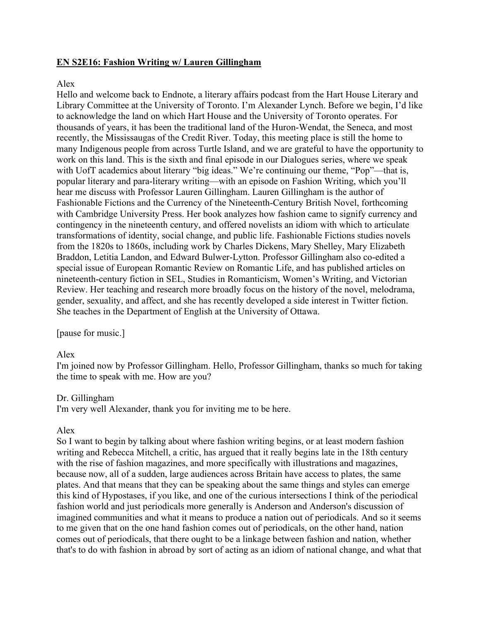# **EN S2E16: Fashion Writing w/ Lauren Gillingham**

# Alex

Hello and welcome back to Endnote, a literary affairs podcast from the Hart House Literary and Library Committee at the University of Toronto. I'm Alexander Lynch. Before we begin, I'd like to acknowledge the land on which Hart House and the University of Toronto operates. For thousands of years, it has been the traditional land of the Huron-Wendat, the Seneca, and most recently, the Mississaugas of the Credit River. Today, this meeting place is still the home to many Indigenous people from across Turtle Island, and we are grateful to have the opportunity to work on this land. This is the sixth and final episode in our Dialogues series, where we speak with UofT academics about literary "big ideas." We're continuing our theme, "Pop"—that is, popular literary and para-literary writing—with an episode on Fashion Writing, which you'll hear me discuss with Professor Lauren Gillingham. Lauren Gillingham is the author of Fashionable Fictions and the Currency of the Nineteenth-Century British Novel, forthcoming with Cambridge University Press. Her book analyzes how fashion came to signify currency and contingency in the nineteenth century, and offered novelists an idiom with which to articulate transformations of identity, social change, and public life. Fashionable Fictions studies novels from the 1820s to 1860s, including work by Charles Dickens, Mary Shelley, Mary Elizabeth Braddon, Letitia Landon, and Edward Bulwer-Lytton. Professor Gillingham also co-edited a special issue of European Romantic Review on Romantic Life, and has published articles on nineteenth-century fiction in SEL, Studies in Romanticism, Women's Writing, and Victorian Review. Her teaching and research more broadly focus on the history of the novel, melodrama, gender, sexuality, and affect, and she has recently developed a side interest in Twitter fiction. She teaches in the Department of English at the University of Ottawa.

[pause for music.]

## Alex

I'm joined now by Professor Gillingham. Hello, Professor Gillingham, thanks so much for taking the time to speak with me. How are you?

## Dr. Gillingham

I'm very well Alexander, thank you for inviting me to be here.

## Alex

So I want to begin by talking about where fashion writing begins, or at least modern fashion writing and Rebecca Mitchell, a critic, has argued that it really begins late in the 18th century with the rise of fashion magazines, and more specifically with illustrations and magazines, because now, all of a sudden, large audiences across Britain have access to plates, the same plates. And that means that they can be speaking about the same things and styles can emerge this kind of Hypostases, if you like, and one of the curious intersections I think of the periodical fashion world and just periodicals more generally is Anderson and Anderson's discussion of imagined communities and what it means to produce a nation out of periodicals. And so it seems to me given that on the one hand fashion comes out of periodicals, on the other hand, nation comes out of periodicals, that there ought to be a linkage between fashion and nation, whether that's to do with fashion in abroad by sort of acting as an idiom of national change, and what that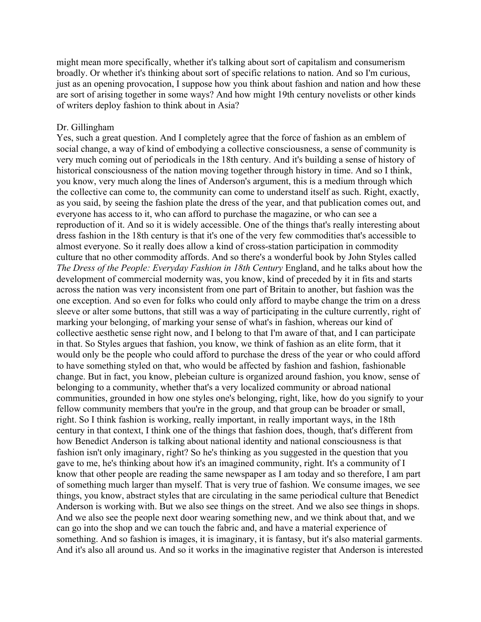might mean more specifically, whether it's talking about sort of capitalism and consumerism broadly. Or whether it's thinking about sort of specific relations to nation. And so I'm curious, just as an opening provocation, I suppose how you think about fashion and nation and how these are sort of arising together in some ways? And how might 19th century novelists or other kinds of writers deploy fashion to think about in Asia?

### Dr. Gillingham

Yes, such a great question. And I completely agree that the force of fashion as an emblem of social change, a way of kind of embodying a collective consciousness, a sense of community is very much coming out of periodicals in the 18th century. And it's building a sense of history of historical consciousness of the nation moving together through history in time. And so I think, you know, very much along the lines of Anderson's argument, this is a medium through which the collective can come to, the community can come to understand itself as such. Right, exactly, as you said, by seeing the fashion plate the dress of the year, and that publication comes out, and everyone has access to it, who can afford to purchase the magazine, or who can see a reproduction of it. And so it is widely accessible. One of the things that's really interesting about dress fashion in the 18th century is that it's one of the very few commodities that's accessible to almost everyone. So it really does allow a kind of cross-station participation in commodity culture that no other commodity affords. And so there's a wonderful book by John Styles called *The Dress of the People: Everyday Fashion in 18th Century* England, and he talks about how the development of commercial modernity was, you know, kind of preceded by it in fits and starts across the nation was very inconsistent from one part of Britain to another, but fashion was the one exception. And so even for folks who could only afford to maybe change the trim on a dress sleeve or alter some buttons, that still was a way of participating in the culture currently, right of marking your belonging, of marking your sense of what's in fashion, whereas our kind of collective aesthetic sense right now, and I belong to that I'm aware of that, and I can participate in that. So Styles argues that fashion, you know, we think of fashion as an elite form, that it would only be the people who could afford to purchase the dress of the year or who could afford to have something styled on that, who would be affected by fashion and fashion, fashionable change. But in fact, you know, plebeian culture is organized around fashion, you know, sense of belonging to a community, whether that's a very localized community or abroad national communities, grounded in how one styles one's belonging, right, like, how do you signify to your fellow community members that you're in the group, and that group can be broader or small, right. So I think fashion is working, really important, in really important ways, in the 18th century in that context, I think one of the things that fashion does, though, that's different from how Benedict Anderson is talking about national identity and national consciousness is that fashion isn't only imaginary, right? So he's thinking as you suggested in the question that you gave to me, he's thinking about how it's an imagined community, right. It's a community of I know that other people are reading the same newspaper as I am today and so therefore, I am part of something much larger than myself. That is very true of fashion. We consume images, we see things, you know, abstract styles that are circulating in the same periodical culture that Benedict Anderson is working with. But we also see things on the street. And we also see things in shops. And we also see the people next door wearing something new, and we think about that, and we can go into the shop and we can touch the fabric and, and have a material experience of something. And so fashion is images, it is imaginary, it is fantasy, but it's also material garments. And it's also all around us. And so it works in the imaginative register that Anderson is interested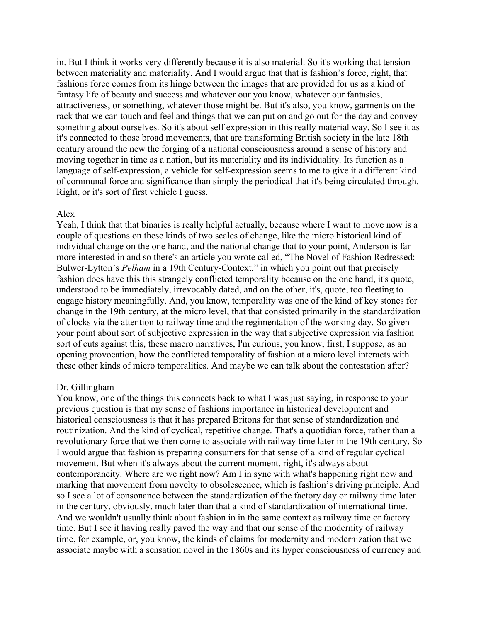in. But I think it works very differently because it is also material. So it's working that tension between materiality and materiality. And I would argue that that is fashion's force, right, that fashions force comes from its hinge between the images that are provided for us as a kind of fantasy life of beauty and success and whatever our you know, whatever our fantasies, attractiveness, or something, whatever those might be. But it's also, you know, garments on the rack that we can touch and feel and things that we can put on and go out for the day and convey something about ourselves. So it's about self expression in this really material way. So I see it as it's connected to those broad movements, that are transforming British society in the late 18th century around the new the forging of a national consciousness around a sense of history and moving together in time as a nation, but its materiality and its individuality. Its function as a language of self-expression, a vehicle for self-expression seems to me to give it a different kind of communal force and significance than simply the periodical that it's being circulated through. Right, or it's sort of first vehicle I guess.

## Alex

Yeah, I think that that binaries is really helpful actually, because where I want to move now is a couple of questions on these kinds of two scales of change, like the micro historical kind of individual change on the one hand, and the national change that to your point, Anderson is far more interested in and so there's an article you wrote called, "The Novel of Fashion Redressed: Bulwer-Lytton's *Pelham* in a 19th Century-Context," in which you point out that precisely fashion does have this this strangely conflicted temporality because on the one hand, it's quote, understood to be immediately, irrevocably dated, and on the other, it's, quote, too fleeting to engage history meaningfully. And, you know, temporality was one of the kind of key stones for change in the 19th century, at the micro level, that that consisted primarily in the standardization of clocks via the attention to railway time and the regimentation of the working day. So given your point about sort of subjective expression in the way that subjective expression via fashion sort of cuts against this, these macro narratives, I'm curious, you know, first, I suppose, as an opening provocation, how the conflicted temporality of fashion at a micro level interacts with these other kinds of micro temporalities. And maybe we can talk about the contestation after?

## Dr. Gillingham

You know, one of the things this connects back to what I was just saying, in response to your previous question is that my sense of fashions importance in historical development and historical consciousness is that it has prepared Britons for that sense of standardization and routinization. And the kind of cyclical, repetitive change. That's a quotidian force, rather than a revolutionary force that we then come to associate with railway time later in the 19th century. So I would argue that fashion is preparing consumers for that sense of a kind of regular cyclical movement. But when it's always about the current moment, right, it's always about contemporaneity. Where are we right now? Am I in sync with what's happening right now and marking that movement from novelty to obsolescence, which is fashion's driving principle. And so I see a lot of consonance between the standardization of the factory day or railway time later in the century, obviously, much later than that a kind of standardization of international time. And we wouldn't usually think about fashion in in the same context as railway time or factory time. But I see it having really paved the way and that our sense of the modernity of railway time, for example, or, you know, the kinds of claims for modernity and modernization that we associate maybe with a sensation novel in the 1860s and its hyper consciousness of currency and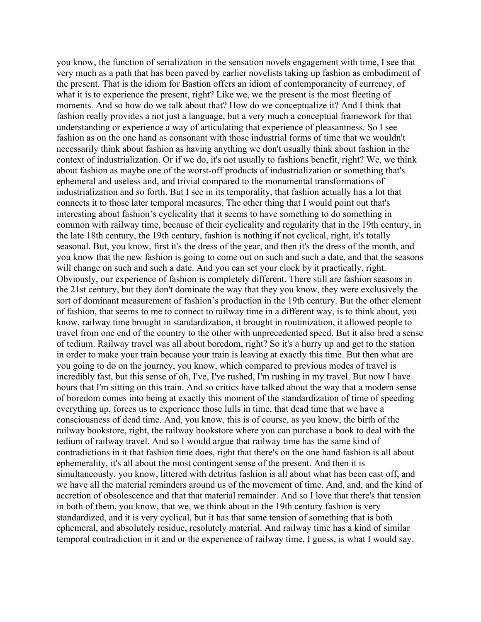you know, the function of serialization in the sensation novels engagement with time, I see that very much as a path that has been paved by earlier novelists taking up fashion as embodiment of the present. That is the idiom for Bastion offers an idiom of contemporaneity of currency, of what it is to experience the present, right? Like we, we the present is the most fleeting of moments. And so how do we talk about that? How do we conceptualize it? And I think that fashion really provides a not just a language, but a very much a conceptual framework for that understanding or experience a way of articulating that experience of pleasantness. So I see fashion as on the one hand as consonant with those industrial forms of time that we wouldn't necessarily think about fashion as having anything we don't usually think about fashion in the context of industrialization. Or if we do, it's not usually to fashions benefit, right? We, we think about fashion as maybe one of the worst-off products of industrialization or something that's ephemeral and useless and, and trivial compared to the monumental transformations of industrialization and so forth. But I see in its temporality, that fashion actually has a lot that connects it to those later temporal measures. The other thing that I would point out that's interesting about fashion's cyclicality that it seems to have something to do something in common with railway time, because of their cyclicality and regularity that in the 19th century, in the late 18th century, the 19th century, fashion is nothing if not cyclical, right, it's totally seasonal. But, you know, first it's the dress of the year, and then it's the dress of the month, and you know that the new fashion is going to come out on such and such a date, and that the seasons will change on such and such a date. And you can set your clock by it practically, right. Obviously, our experience of fashion is completely different. There still are fashion seasons in the 21st century, but they don't dominate the way that they you know, they were exclusively the sort of dominant measurement of fashion's production in the 19th century. But the other element of fashion, that seems to me to connect to railway time in a different way, is to think about, you know, railway time brought in standardization, it brought in routinization, it allowed people to travel from one end of the country to the other with unprecedented speed. But it also bred a sense of tedium. Railway travel was all about boredom, right? So it's a hurry up and get to the station in order to make your train because your train is leaving at exactly this time. But then what are you going to do on the journey, you know, which compared to previous modes of travel is incredibly fast, but this sense of oh, I've, I've rushed, I'm rushing in my travel. But now I have hours that I'm sitting on this train. And so critics have talked about the way that a modern sense of boredom comes into being at exactly this moment of the standardization of time of speeding everything up, forces us to experience those lulls in time, that dead time that we have a consciousness of dead time. And, you know, this is of course, as you know, the birth of the railway bookstore, right, the railway bookstore where you can purchase a book to deal with the tedium of railway travel. And so I would argue that railway time has the same kind of contradictions in it that fashion time does, right that there's on the one hand fashion is all about ephemerality, it's all about the most contingent sense of the present. And then it is simultaneously, you know, littered with detritus fashion is all about what has been cast off, and we have all the material reminders around us of the movement of time. And, and, and the kind of accretion of obsolescence and that that material remainder. And so I love that there's that tension in both of them, you know, that we, we think about in the 19th century fashion is very standardized, and it is very cyclical, but it has that same tension of something that is both ephemeral, and absolutely residue, resolutely material. And railway time has a kind of similar temporal contradiction in it and or the experience of railway time, I guess, is what I would say.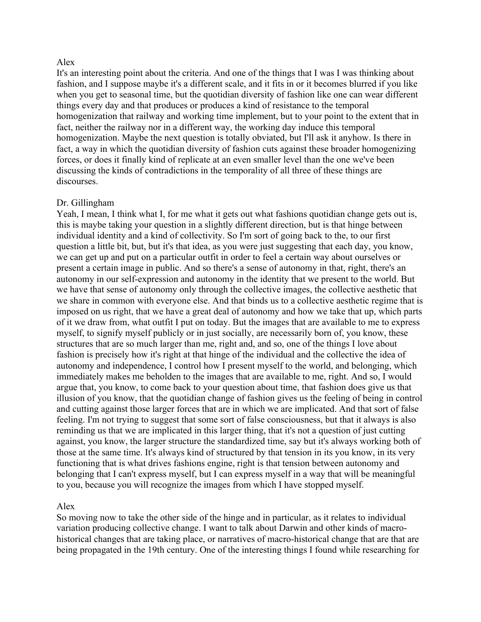## Alex

It's an interesting point about the criteria. And one of the things that I was I was thinking about fashion, and I suppose maybe it's a different scale, and it fits in or it becomes blurred if you like when you get to seasonal time, but the quotidian diversity of fashion like one can wear different things every day and that produces or produces a kind of resistance to the temporal homogenization that railway and working time implement, but to your point to the extent that in fact, neither the railway nor in a different way, the working day induce this temporal homogenization. Maybe the next question is totally obviated, but I'll ask it anyhow. Is there in fact, a way in which the quotidian diversity of fashion cuts against these broader homogenizing forces, or does it finally kind of replicate at an even smaller level than the one we've been discussing the kinds of contradictions in the temporality of all three of these things are discourses.

#### Dr. Gillingham

Yeah, I mean, I think what I, for me what it gets out what fashions quotidian change gets out is, this is maybe taking your question in a slightly different direction, but is that hinge between individual identity and a kind of collectivity. So I'm sort of going back to the, to our first question a little bit, but, but it's that idea, as you were just suggesting that each day, you know, we can get up and put on a particular outfit in order to feel a certain way about ourselves or present a certain image in public. And so there's a sense of autonomy in that, right, there's an autonomy in our self-expression and autonomy in the identity that we present to the world. But we have that sense of autonomy only through the collective images, the collective aesthetic that we share in common with everyone else. And that binds us to a collective aesthetic regime that is imposed on us right, that we have a great deal of autonomy and how we take that up, which parts of it we draw from, what outfit I put on today. But the images that are available to me to express myself, to signify myself publicly or in just socially, are necessarily born of, you know, these structures that are so much larger than me, right and, and so, one of the things I love about fashion is precisely how it's right at that hinge of the individual and the collective the idea of autonomy and independence, I control how I present myself to the world, and belonging, which immediately makes me beholden to the images that are available to me, right. And so, I would argue that, you know, to come back to your question about time, that fashion does give us that illusion of you know, that the quotidian change of fashion gives us the feeling of being in control and cutting against those larger forces that are in which we are implicated. And that sort of false feeling. I'm not trying to suggest that some sort of false consciousness, but that it always is also reminding us that we are implicated in this larger thing, that it's not a question of just cutting against, you know, the larger structure the standardized time, say but it's always working both of those at the same time. It's always kind of structured by that tension in its you know, in its very functioning that is what drives fashions engine, right is that tension between autonomy and belonging that I can't express myself, but I can express myself in a way that will be meaningful to you, because you will recognize the images from which I have stopped myself.

### Alex

So moving now to take the other side of the hinge and in particular, as it relates to individual variation producing collective change. I want to talk about Darwin and other kinds of macrohistorical changes that are taking place, or narratives of macro-historical change that are that are being propagated in the 19th century. One of the interesting things I found while researching for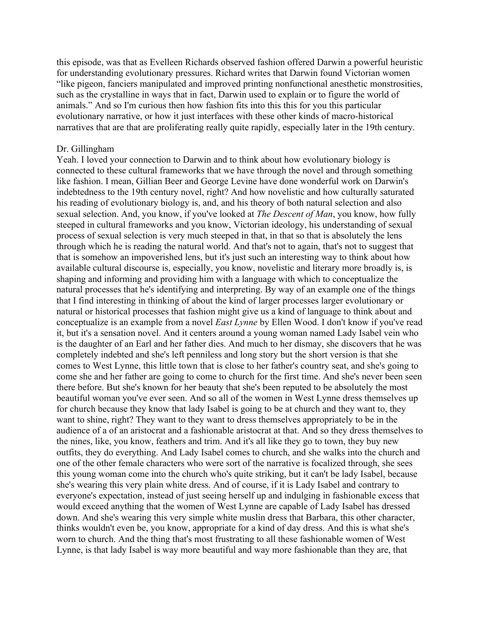this episode, was that as Evelleen Richards observed fashion offered Darwin a powerful heuristic for understanding evolutionary pressures. Richard writes that Darwin found Victorian women "like pigeon, fanciers manipulated and improved printing nonfunctional anesthetic monstrosities, such as the crystalline in ways that in fact, Darwin used to explain or to figure the world of animals." And so I'm curious then how fashion fits into this this for you this particular evolutionary narrative, or how it just interfaces with these other kinds of macro-historical narratives that are that are proliferating really quite rapidly, especially later in the 19th century.

#### Dr. Gillingham

Yeah. I loved your connection to Darwin and to think about how evolutionary biology is connected to these cultural frameworks that we have through the novel and through something like fashion. I mean, Gillian Beer and George Levine have done wonderful work on Darwin's indebtedness to the 19th century novel, right? And how novelistic and how culturally saturated his reading of evolutionary biology is, and, and his theory of both natural selection and also sexual selection. And, you know, if you've looked at *The Descent of Man*, you know, how fully steeped in cultural frameworks and you know, Victorian ideology, his understanding of sexual process of sexual selection is very much steeped in that, in that so that is absolutely the lens through which he is reading the natural world. And that's not to again, that's not to suggest that that is somehow an impoverished lens, but it's just such an interesting way to think about how available cultural discourse is, especially, you know, novelistic and literary more broadly is, is shaping and informing and providing him with a language with which to conceptualize the natural processes that he's identifying and interpreting. By way of an example one of the things that I find interesting in thinking of about the kind of larger processes larger evolutionary or natural or historical processes that fashion might give us a kind of language to think about and conceptualize is an example from a novel *East Lynne* by Ellen Wood. I don't know if you've read it, but it's a sensation novel. And it centers around a young woman named Lady Isabel vein who is the daughter of an Earl and her father dies. And much to her dismay, she discovers that he was completely indebted and she's left penniless and long story but the short version is that she comes to West Lynne, this little town that is close to her father's country seat, and she's going to come she and her father are going to come to church for the first time. And she's never been seen there before. But she's known for her beauty that she's been reputed to be absolutely the most beautiful woman you've ever seen. And so all of the women in West Lynne dress themselves up for church because they know that lady Isabel is going to be at church and they want to, they want to shine, right? They want to they want to dress themselves appropriately to be in the audience of a of an aristocrat and a fashionable aristocrat at that. And so they dress themselves to the nines, like, you know, feathers and trim. And it's all like they go to town, they buy new outfits, they do everything. And Lady Isabel comes to church, and she walks into the church and one of the other female characters who were sort of the narrative is focalized through, she sees this young woman come into the church who's quite striking, but it can't be lady Isabel, because she's wearing this very plain white dress. And of course, if it is Lady Isabel and contrary to everyone's expectation, instead of just seeing herself up and indulging in fashionable excess that would exceed anything that the women of West Lynne are capable of Lady Isabel has dressed down. And she's wearing this very simple white muslin dress that Barbara, this other character, thinks wouldn't even be, you know, appropriate for a kind of day dress. And this is what she's worn to church. And the thing that's most frustrating to all these fashionable women of West Lynne, is that lady Isabel is way more beautiful and way more fashionable than they are, that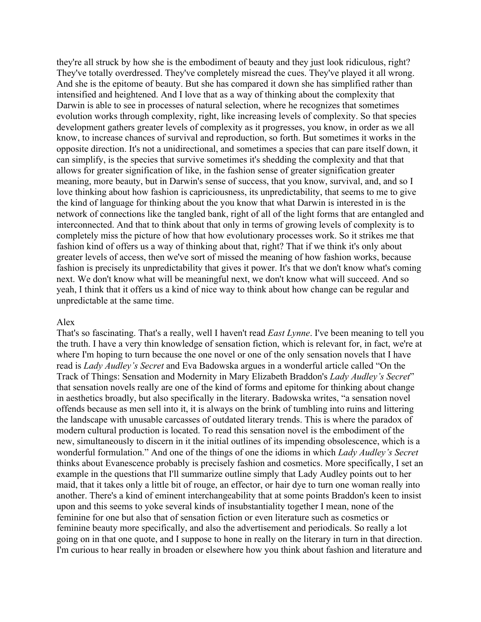they're all struck by how she is the embodiment of beauty and they just look ridiculous, right? They've totally overdressed. They've completely misread the cues. They've played it all wrong. And she is the epitome of beauty. But she has compared it down she has simplified rather than intensified and heightened. And I love that as a way of thinking about the complexity that Darwin is able to see in processes of natural selection, where he recognizes that sometimes evolution works through complexity, right, like increasing levels of complexity. So that species development gathers greater levels of complexity as it progresses, you know, in order as we all know, to increase chances of survival and reproduction, so forth. But sometimes it works in the opposite direction. It's not a unidirectional, and sometimes a species that can pare itself down, it can simplify, is the species that survive sometimes it's shedding the complexity and that that allows for greater signification of like, in the fashion sense of greater signification greater meaning, more beauty, but in Darwin's sense of success, that you know, survival, and, and so I love thinking about how fashion is capriciousness, its unpredictability, that seems to me to give the kind of language for thinking about the you know that what Darwin is interested in is the network of connections like the tangled bank, right of all of the light forms that are entangled and interconnected. And that to think about that only in terms of growing levels of complexity is to completely miss the picture of how that how evolutionary processes work. So it strikes me that fashion kind of offers us a way of thinking about that, right? That if we think it's only about greater levels of access, then we've sort of missed the meaning of how fashion works, because fashion is precisely its unpredictability that gives it power. It's that we don't know what's coming next. We don't know what will be meaningful next, we don't know what will succeed. And so yeah, I think that it offers us a kind of nice way to think about how change can be regular and unpredictable at the same time.

### Alex

That's so fascinating. That's a really, well I haven't read *East Lynne*. I've been meaning to tell you the truth. I have a very thin knowledge of sensation fiction, which is relevant for, in fact, we're at where I'm hoping to turn because the one novel or one of the only sensation novels that I have read is *Lady Audley's Secret* and Eva Badowska argues in a wonderful article called "On the Track of Things: Sensation and Modernity in Mary Elizabeth Braddon's *Lady Audley's Secret*" that sensation novels really are one of the kind of forms and epitome for thinking about change in aesthetics broadly, but also specifically in the literary. Badowska writes, "a sensation novel offends because as men sell into it, it is always on the brink of tumbling into ruins and littering the landscape with unusable carcasses of outdated literary trends. This is where the paradox of modern cultural production is located. To read this sensation novel is the embodiment of the new, simultaneously to discern in it the initial outlines of its impending obsolescence, which is a wonderful formulation." And one of the things of one the idioms in which *Lady Audley's Secret* thinks about Evanescence probably is precisely fashion and cosmetics. More specifically, I set an example in the questions that I'll summarize outline simply that Lady Audley points out to her maid, that it takes only a little bit of rouge, an effector, or hair dye to turn one woman really into another. There's a kind of eminent interchangeability that at some points Braddon's keen to insist upon and this seems to yoke several kinds of insubstantiality together I mean, none of the feminine for one but also that of sensation fiction or even literature such as cosmetics or feminine beauty more specifically, and also the advertisement and periodicals. So really a lot going on in that one quote, and I suppose to hone in really on the literary in turn in that direction. I'm curious to hear really in broaden or elsewhere how you think about fashion and literature and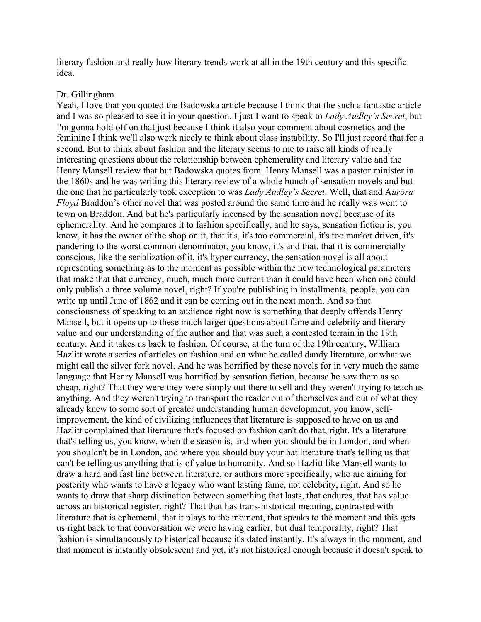literary fashion and really how literary trends work at all in the 19th century and this specific idea.

#### Dr. Gillingham

Yeah, I love that you quoted the Badowska article because I think that the such a fantastic article and I was so pleased to see it in your question. I just I want to speak to *Lady Audley's Secret*, but I'm gonna hold off on that just because I think it also your comment about cosmetics and the feminine I think we'll also work nicely to think about class instability. So I'll just record that for a second. But to think about fashion and the literary seems to me to raise all kinds of really interesting questions about the relationship between ephemerality and literary value and the Henry Mansell review that but Badowska quotes from. Henry Mansell was a pastor minister in the 1860s and he was writing this literary review of a whole bunch of sensation novels and but the one that he particularly took exception to was *Lady Audley's Secret*. Well, that and A*urora Floyd* Braddon's other novel that was posted around the same time and he really was went to town on Braddon. And but he's particularly incensed by the sensation novel because of its ephemerality. And he compares it to fashion specifically, and he says, sensation fiction is, you know, it has the owner of the shop on it, that it's, it's too commercial, it's too market driven, it's pandering to the worst common denominator, you know, it's and that, that it is commercially conscious, like the serialization of it, it's hyper currency, the sensation novel is all about representing something as to the moment as possible within the new technological parameters that make that that currency, much, much more current than it could have been when one could only publish a three volume novel, right? If you're publishing in installments, people, you can write up until June of 1862 and it can be coming out in the next month. And so that consciousness of speaking to an audience right now is something that deeply offends Henry Mansell, but it opens up to these much larger questions about fame and celebrity and literary value and our understanding of the author and that was such a contested terrain in the 19th century. And it takes us back to fashion. Of course, at the turn of the 19th century, William Hazlitt wrote a series of articles on fashion and on what he called dandy literature, or what we might call the silver fork novel. And he was horrified by these novels for in very much the same language that Henry Mansell was horrified by sensation fiction, because he saw them as so cheap, right? That they were they were simply out there to sell and they weren't trying to teach us anything. And they weren't trying to transport the reader out of themselves and out of what they already knew to some sort of greater understanding human development, you know, selfimprovement, the kind of civilizing influences that literature is supposed to have on us and Hazlitt complained that literature that's focused on fashion can't do that, right. It's a literature that's telling us, you know, when the season is, and when you should be in London, and when you shouldn't be in London, and where you should buy your hat literature that's telling us that can't be telling us anything that is of value to humanity. And so Hazlitt like Mansell wants to draw a hard and fast line between literature, or authors more specifically, who are aiming for posterity who wants to have a legacy who want lasting fame, not celebrity, right. And so he wants to draw that sharp distinction between something that lasts, that endures, that has value across an historical register, right? That that has trans-historical meaning, contrasted with literature that is ephemeral, that it plays to the moment, that speaks to the moment and this gets us right back to that conversation we were having earlier, but dual temporality, right? That fashion is simultaneously to historical because it's dated instantly. It's always in the moment, and that moment is instantly obsolescent and yet, it's not historical enough because it doesn't speak to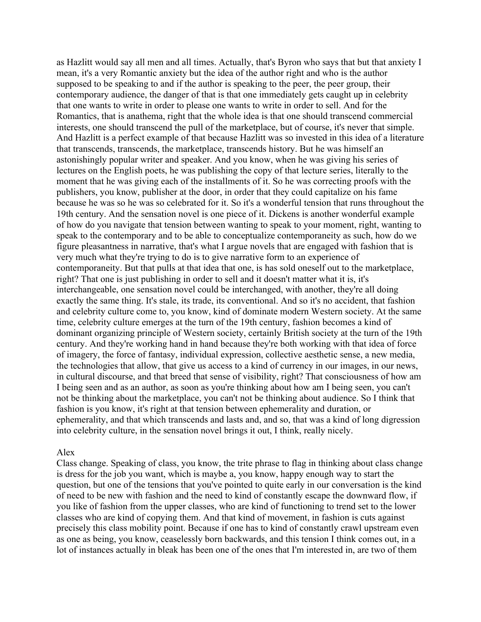as Hazlitt would say all men and all times. Actually, that's Byron who says that but that anxiety I mean, it's a very Romantic anxiety but the idea of the author right and who is the author supposed to be speaking to and if the author is speaking to the peer, the peer group, their contemporary audience, the danger of that is that one immediately gets caught up in celebrity that one wants to write in order to please one wants to write in order to sell. And for the Romantics, that is anathema, right that the whole idea is that one should transcend commercial interests, one should transcend the pull of the marketplace, but of course, it's never that simple. And Hazlitt is a perfect example of that because Hazlitt was so invested in this idea of a literature that transcends, transcends, the marketplace, transcends history. But he was himself an astonishingly popular writer and speaker. And you know, when he was giving his series of lectures on the English poets, he was publishing the copy of that lecture series, literally to the moment that he was giving each of the installments of it. So he was correcting proofs with the publishers, you know, publisher at the door, in order that they could capitalize on his fame because he was so he was so celebrated for it. So it's a wonderful tension that runs throughout the 19th century. And the sensation novel is one piece of it. Dickens is another wonderful example of how do you navigate that tension between wanting to speak to your moment, right, wanting to speak to the contemporary and to be able to conceptualize contemporaneity as such, how do we figure pleasantness in narrative, that's what I argue novels that are engaged with fashion that is very much what they're trying to do is to give narrative form to an experience of contemporaneity. But that pulls at that idea that one, is has sold oneself out to the marketplace, right? That one is just publishing in order to sell and it doesn't matter what it is, it's interchangeable, one sensation novel could be interchanged, with another, they're all doing exactly the same thing. It's stale, its trade, its conventional. And so it's no accident, that fashion and celebrity culture come to, you know, kind of dominate modern Western society. At the same time, celebrity culture emerges at the turn of the 19th century, fashion becomes a kind of dominant organizing principle of Western society, certainly British society at the turn of the 19th century. And they're working hand in hand because they're both working with that idea of force of imagery, the force of fantasy, individual expression, collective aesthetic sense, a new media, the technologies that allow, that give us access to a kind of currency in our images, in our news, in cultural discourse, and that breed that sense of visibility, right? That consciousness of how am I being seen and as an author, as soon as you're thinking about how am I being seen, you can't not be thinking about the marketplace, you can't not be thinking about audience. So I think that fashion is you know, it's right at that tension between ephemerality and duration, or ephemerality, and that which transcends and lasts and, and so, that was a kind of long digression into celebrity culture, in the sensation novel brings it out, I think, really nicely.

#### Alex

Class change. Speaking of class, you know, the trite phrase to flag in thinking about class change is dress for the job you want, which is maybe a, you know, happy enough way to start the question, but one of the tensions that you've pointed to quite early in our conversation is the kind of need to be new with fashion and the need to kind of constantly escape the downward flow, if you like of fashion from the upper classes, who are kind of functioning to trend set to the lower classes who are kind of copying them. And that kind of movement, in fashion is cuts against precisely this class mobility point. Because if one has to kind of constantly crawl upstream even as one as being, you know, ceaselessly born backwards, and this tension I think comes out, in a lot of instances actually in bleak has been one of the ones that I'm interested in, are two of them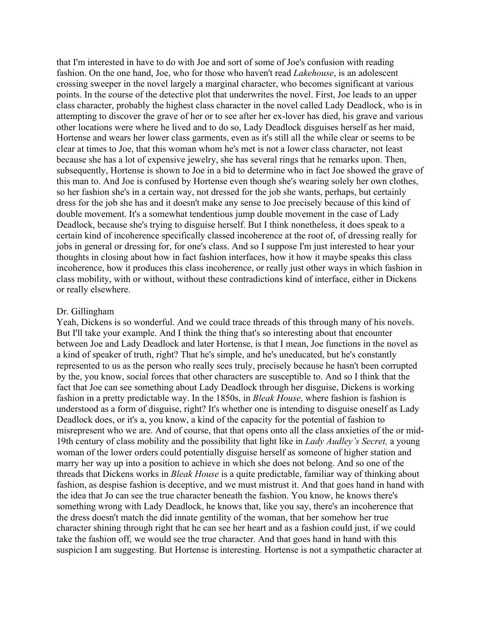that I'm interested in have to do with Joe and sort of some of Joe's confusion with reading fashion. On the one hand, Joe, who for those who haven't read *Lakehouse*, is an adolescent crossing sweeper in the novel largely a marginal character, who becomes significant at various points. In the course of the detective plot that underwrites the novel. First, Joe leads to an upper class character, probably the highest class character in the novel called Lady Deadlock, who is in attempting to discover the grave of her or to see after her ex-lover has died, his grave and various other locations were where he lived and to do so, Lady Deadlock disguises herself as her maid, Hortense and wears her lower class garments, even as it's still all the while clear or seems to be clear at times to Joe, that this woman whom he's met is not a lower class character, not least because she has a lot of expensive jewelry, she has several rings that he remarks upon. Then, subsequently, Hortense is shown to Joe in a bid to determine who in fact Joe showed the grave of this man to. And Joe is confused by Hortense even though she's wearing solely her own clothes, so her fashion she's in a certain way, not dressed for the job she wants, perhaps, but certainly dress for the job she has and it doesn't make any sense to Joe precisely because of this kind of double movement. It's a somewhat tendentious jump double movement in the case of Lady Deadlock, because she's trying to disguise herself. But I think nonetheless, it does speak to a certain kind of incoherence specifically classed incoherence at the root of, of dressing really for jobs in general or dressing for, for one's class. And so I suppose I'm just interested to hear your thoughts in closing about how in fact fashion interfaces, how it how it maybe speaks this class incoherence, how it produces this class incoherence, or really just other ways in which fashion in class mobility, with or without, without these contradictions kind of interface, either in Dickens or really elsewhere.

### Dr. Gillingham

Yeah, Dickens is so wonderful. And we could trace threads of this through many of his novels. But I'll take your example. And I think the thing that's so interesting about that encounter between Joe and Lady Deadlock and later Hortense, is that I mean, Joe functions in the novel as a kind of speaker of truth, right? That he's simple, and he's uneducated, but he's constantly represented to us as the person who really sees truly, precisely because he hasn't been corrupted by the, you know, social forces that other characters are susceptible to. And so I think that the fact that Joe can see something about Lady Deadlock through her disguise, Dickens is working fashion in a pretty predictable way. In the 1850s, in *Bleak House*, where fashion is fashion is understood as a form of disguise, right? It's whether one is intending to disguise oneself as Lady Deadlock does, or it's a, you know, a kind of the capacity for the potential of fashion to misrepresent who we are. And of course, that that opens onto all the class anxieties of the or mid-19th century of class mobility and the possibility that light like in *Lady Audley's Secret,* a young woman of the lower orders could potentially disguise herself as someone of higher station and marry her way up into a position to achieve in which she does not belong. And so one of the threads that Dickens works in *Bleak House* is a quite predictable, familiar way of thinking about fashion, as despise fashion is deceptive, and we must mistrust it. And that goes hand in hand with the idea that Jo can see the true character beneath the fashion. You know, he knows there's something wrong with Lady Deadlock, he knows that, like you say, there's an incoherence that the dress doesn't match the did innate gentility of the woman, that her somehow her true character shining through right that he can see her heart and as a fashion could just, if we could take the fashion off, we would see the true character. And that goes hand in hand with this suspicion I am suggesting. But Hortense is interesting. Hortense is not a sympathetic character at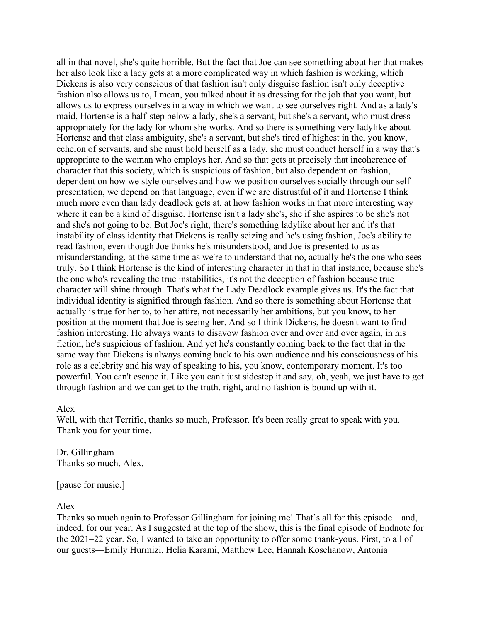all in that novel, she's quite horrible. But the fact that Joe can see something about her that makes her also look like a lady gets at a more complicated way in which fashion is working, which Dickens is also very conscious of that fashion isn't only disguise fashion isn't only deceptive fashion also allows us to, I mean, you talked about it as dressing for the job that you want, but allows us to express ourselves in a way in which we want to see ourselves right. And as a lady's maid, Hortense is a half-step below a lady, she's a servant, but she's a servant, who must dress appropriately for the lady for whom she works. And so there is something very ladylike about Hortense and that class ambiguity, she's a servant, but she's tired of highest in the, you know, echelon of servants, and she must hold herself as a lady, she must conduct herself in a way that's appropriate to the woman who employs her. And so that gets at precisely that incoherence of character that this society, which is suspicious of fashion, but also dependent on fashion, dependent on how we style ourselves and how we position ourselves socially through our selfpresentation, we depend on that language, even if we are distrustful of it and Hortense I think much more even than lady deadlock gets at, at how fashion works in that more interesting way where it can be a kind of disguise. Hortense isn't a lady she's, she if she aspires to be she's not and she's not going to be. But Joe's right, there's something ladylike about her and it's that instability of class identity that Dickens is really seizing and he's using fashion, Joe's ability to read fashion, even though Joe thinks he's misunderstood, and Joe is presented to us as misunderstanding, at the same time as we're to understand that no, actually he's the one who sees truly. So I think Hortense is the kind of interesting character in that in that instance, because she's the one who's revealing the true instabilities, it's not the deception of fashion because true character will shine through. That's what the Lady Deadlock example gives us. It's the fact that individual identity is signified through fashion. And so there is something about Hortense that actually is true for her to, to her attire, not necessarily her ambitions, but you know, to her position at the moment that Joe is seeing her. And so I think Dickens, he doesn't want to find fashion interesting. He always wants to disavow fashion over and over and over again, in his fiction, he's suspicious of fashion. And yet he's constantly coming back to the fact that in the same way that Dickens is always coming back to his own audience and his consciousness of his role as a celebrity and his way of speaking to his, you know, contemporary moment. It's too powerful. You can't escape it. Like you can't just sidestep it and say, oh, yeah, we just have to get through fashion and we can get to the truth, right, and no fashion is bound up with it.

## Alex

Well, with that Terrific, thanks so much, Professor. It's been really great to speak with you. Thank you for your time.

Dr. Gillingham Thanks so much, Alex.

[pause for music.]

## Alex

Thanks so much again to Professor Gillingham for joining me! That's all for this episode—and, indeed, for our year. As I suggested at the top of the show, this is the final episode of Endnote for the 2021–22 year. So, I wanted to take an opportunity to offer some thank-yous. First, to all of our guests—Emily Hurmizi, Helia Karami, Matthew Lee, Hannah Koschanow, Antonia